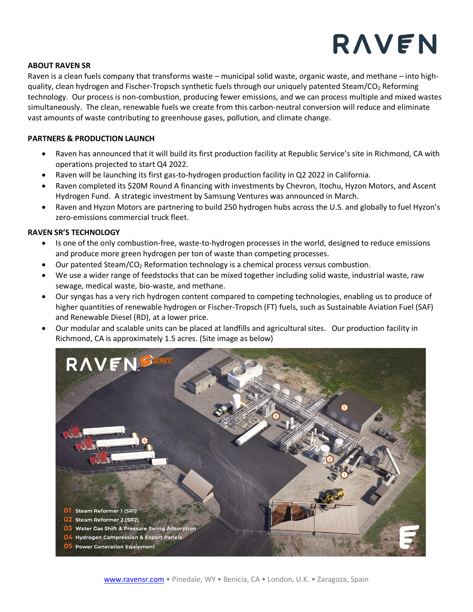## RAVEN

### **ABOUT RAVEN SR**

Raven is a clean fuels company that transforms waste – municipal solid waste, organic waste, and methane – into highquality, clean hydrogen and Fischer-Tropsch synthetic fuels through our uniquely patented Steam/CO<sup>2</sup> Reforming technology. Our process is non-combustion, producing fewer emissions, and we can process multiple and mixed wastes simultaneously. The clean, renewable fuels we create from this carbon-neutral conversion will reduce and eliminate vast amounts of waste contributing to greenhouse gases, pollution, and climate change.

### **PARTNERS & PRODUCTION LAUNCH**

- Raven has announced that it will build its first production facility at Republic Service's site in Richmond, CA with operations projected to start Q4 2022.
- Raven will be launching its first gas-to-hydrogen production facility in Q2 2022 in California.
- Raven completed its \$20M Round A financing with investments by Chevron, Itochu, Hyzon Motors, and Ascent Hydrogen Fund. A strategic investment by Samsung Ventures was announced in March.
- Raven and Hyzon Motors are partnering to build 250 hydrogen hubs across the U.S. and globally to fuel Hyzon's zero-emissions commercial truck fleet.

#### **RAVEN SR'S TECHNOLOGY**

- Is one of the only combustion-free, waste-to-hydrogen processes in the world, designed to reduce emissions and produce more green hydrogen per ton of waste than competing processes.
- Our patented Steam/CO<sub>2</sub> Reformation technology is a chemical process versus combustion.
- We use a wider range of feedstocks that can be mixed together including solid waste, industrial waste, raw sewage, medical waste, bio-waste, and methane.
- Our syngas has a very rich hydrogen content compared to competing technologies, enabling us to produce of higher quantities of renewable hydrogen or Fischer-Tropsch (FT) fuels, such as Sustainable Aviation Fuel (SAF) and Renewable Diesel (RD), at a lower price.
- Our modular and scalable units can be placed at landfills and agricultural sites. Our production facility in Richmond, CA is approximately 1.5 acres. (Site image as below)